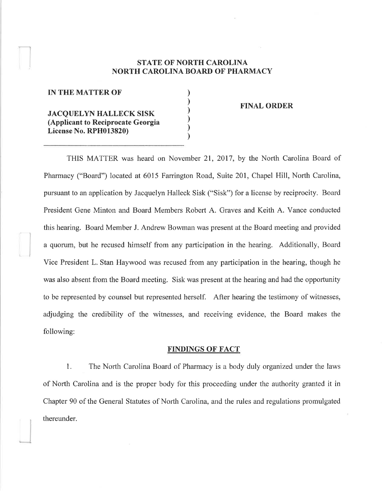## STATE OF NORTH CAROLINA NORTH CAROLINA BOARD OF PHARMACY

) ) ) ) ) )

## IN THE MATTER OF'

# JACQUELYN HALLECK SISK (Applicant to Reciprocate Georgia License No. RPH013820)

#### FINAL ORDER

THIS MATTER was heard on November 21,2017, by the North Carolina Board of Pharmacy ("Board") located at 6015 Farrington Road, Suite 201, Chapel Hill, North Carolina, pursuant to an application by Jacquelyn Halleck Sisk ("Sisk") for a license by reciprocity. Board President Gene Minton and Board Members Robert A. Graves and Keith A. Vance conducted this hearing. Board Member J. Andrew Bowman was present at the Board meeting and provided a quorum, but he recused himself from any participation in the hearing. Additionally, Board Vice President L. Stan Haywood was recused from any participation in the hearing, though he was also absent from the Board meeting. Sisk was present at the hearing and had the opportunity to be represented by counsel but represented herself. After hearing the testimony of witnesses, adjudging the credibility of the witnesses, and receiving evidence, the Board makes the following:

### FINDINGS OF FACT

1. The North Carolina Board of Pharmacy is a body duly organized under the laws of North Carolina and is the proper body for this proceeding under the authority granted it in Chapter 90 of the General Statutes of North Carolina, and the rules and regulations promulgated thereunder.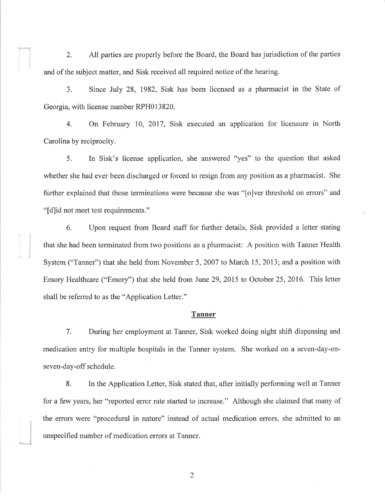2. All parties are properly before the Board, the Board has jurisdiction of the parties and of the subject matter, and Sisk received all required notice of the hearing.

3. Since July 28, 1982, Sisk has been licensed as a pharmacist in the State of Georgia, with license number RPH013820.

4. On February 10, 2017, Sisk executed an application for licensure in North Carolina by reciprocity.

5. In Sisk's license application, she answered "yes" to the question that asked whether she had ever been discharged or forced to resign from any position as a pharmacist. She further explained that those terminations were because she was "[o]ver threshold on errors" and "[d]id not meet test requirements."

6. Upon request from Board staff for further details, Sisk provided a letter stating that she had been terminated from two positions as a pharmacist: A position with Tanner Health System ("Tanner") that she held from November 5, 2007 to March 15, 2013; and a position with Emory Healthcare ("Emory") that she held from June29,2015 to October 25,2016. This letter shall be referred to as the "Application Letter."

#### **Tanner**

7. During her employment at Tanner, Sisk worked doing night shift dispensing and medication entry for multiple hospitals in the Tanner system. She worked on a seven-day-onseven-day-off schedule.

8. In the Application Letter, Sisk stated that, after initially performing well at Tanner for a few years, her "reported error rate started to increase." Although she clairned that many of the errors were "procedural in nature" instead of actual medication errors, she admitted to an unspecified number of medication errors at Tanner.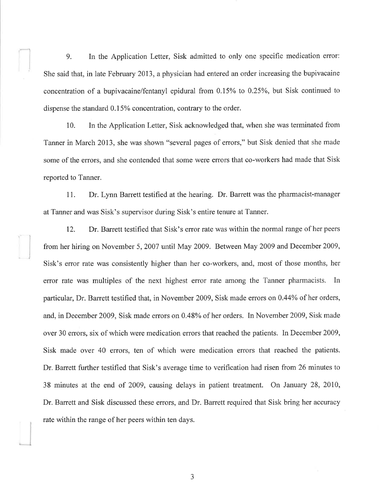9. In the Application Letter, Sisk admitted to only one specific medication error: She said that, in late February 2013, a physician had entered an order increasing the bupivacaine concentration of a bupivacaine/fentanyl epidural from 0.15% to 0.25Yo, but Sisk continued to dispense the standard  $0.15\%$  concentration, contrary to the order.

I

10. In the Application Letter, Sisk acknowledged that, when she was terminated from Tanner in March 2013, she was shown "several pages of errors," but Sisk denied that she made some of the errors, and she contended that some were errors that co-workers had made that Sisk reported to Tanner.

<sup>1</sup>1. Dr. Lynn Barrett testified at the hearing. Dr. Barrett was the pharmacist-manager at Tanner and was Sisk's supervisor during Sisk's entire tenure at Tanner.

12. Dr. Barrett testified that Sisk's error rate was within the normal range of her peers from her hiring on November 5, 2007 until May 2009. Between May 2009 and December 2009, Sisk's error rate was consistently higher than her co-workers, and, most of those months, her error rate was multiples of the next highest error rate among the Tanner pharmacists. In particular, Dr. Barrett testified that, in November 2009, Sisk made errors on 0.44% of her orders, and, in December 2009, Sisk made errors on 0.48% of her orders. In November 2009, Sisk made over 30 errors, six of which were medication errors that reached the patients. In December 2009, Sisk made over 40 errors, ten of which were medication errors that reached the patients. Dr. Barrett further testified that Sisk's average time to verification had risen from 26 minutes to 38 minutes at the end of 2009, causing delays in patient treatment. On January 28, 2010, Dr. Barrett and Sisk discussed these errors, and Dr. Barrett required that Sisk bring her accuracy rate within the range of her peers within ten days.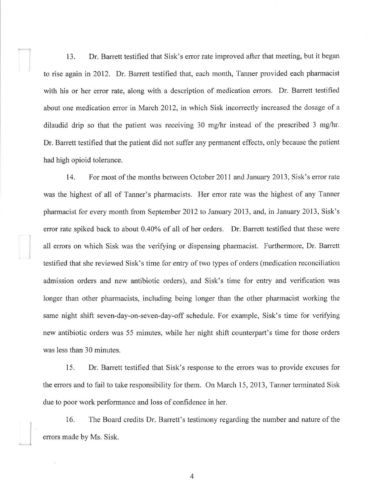13. Dr. Barrett testified that Sisk's error rate improved after that meeting, but it began to rise again in 2012. Dr. Barrett testified that, each month, Tanner provided each pharmacist with his or her error rate, along with a description of medication errors. Dr. Barrett testified about one medication error in March 2012, in which Sisk incorrectly increased the dosage of a dilaudid drip so that the patient was receiving 30 mg/hr instead of the prescribed 3 mg/hr. Dr. Barett testified that the patient did not suffer any permanent effects, only because the patient had high opioid tolerance.

14. For most of the months between October 2011 and January 2013, Sisk's error rate was the highest of all of Tanner's pharmacists. Her error rate was the highest of any Tanner pharmacist for every month from September 2012 to January 2013, and, in January 2013, Sisk's error rate spiked back to about 0.40% of all of her orders. Dr. Barrett testified that these were all errors on which Sisk was the verifying or dispensing pharmacist. Furthermore, Dr. Barrett testified that she reviewed Sisk's time for entry of two types of orders (medication reconciliation admission orders and new antibiotic orders), and Sisk's time for entry and verification was longer than other pharmacists, including being longer than the other pharmacist working the same night shift seven-day-on-seven-day-off schedule. For example, Sisk's time for verifying new antibiotic orders was 55 minutes, while her night shift counterpart's time for those orders was less than 30 minutes.

15. Dr. Barrett testified that Sisk's response to the errors was to provide excuses for the errors and to fail to take responsibility for them. On March 15,2013, Tanner terminated Sisk due to poor work performance and loss of confidence in her.

16. The Board credits Dr. Barrett's testimony regarding the number and nature of the errors made by Ms. Sisk.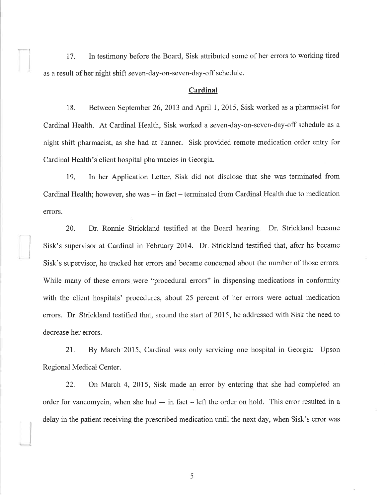17. In testimony before the Board, Sisk attributed some of her errors to working tired as a result of her night shift seven-day-on-seven-day-off schedule.

 $\overline{t}$ 

#### **Cardinal**

18. Between September 26, 2013 and April I, 2015, Sisk worked as a pharmacist for Cardinal Health. At Cardinal Health, Sisk worked a seven-day-on-seven-day-off schedule as a night shift pharmacist, as she had at Tanner. Sisk provided remote medication order entry for Cardinal Health's client hospital pharmacies in Georgia.

19. In her Application Letter, Sisk did not disclose that she was terminated from Cardinal Health; however, she was – in fact – terminated from Cardinal Health due to medication errors.

20. Dr. Ronnie Strickland testified at the Board hearing. Dr. Strickland became Sisk's supervisor at Cardinal in February 2014. Dr. Strickland testified that, after he became Sisk's supervisor, he tracked her errors and became concerned about the number of those errors. While many of these errors were "procedural errors" in dispensing medications in conformity with the client hospitals' procedures, about 25 percent of her errors were actual medication errors. Dr. Strickland testified that, around the start of 2015, he addressed with Sisk the need to decrease her errors.

21. By March 2015, Cardinal was only servicing one hospital in Georgia: Upson Regional Medical Center.

22. On March 4, 2015, Sisk made an error by entering that she had completed an order for vancomycin, when she had -- in fact - left the order on hold. This error resulted in a delay in the patient receiving the prescribed medication until the next day, when Sisk's error was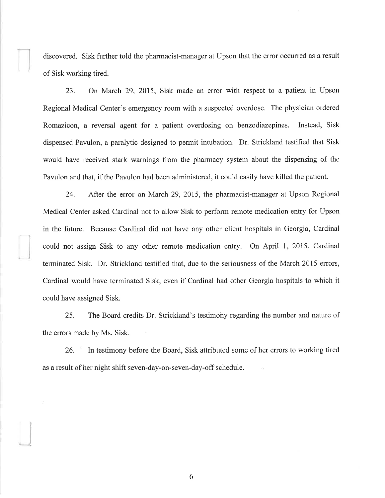discovered. Sisk further told the pharmacist-manager at Upson that the error occurred as a result of Sisk working tired.

23. On March 29, 2015, Sisk made an error with respect to a patient in Upson Regional Medical Center's emergency room with a suspected overdose. The physician ordered Romazicon, a reversal agent for a patient overdosing on benzodiazepines. Instead, Sisk dispensed Pavulon, a paralytic designed to permit intubation. Dr. Strickland testified that Sisk would have received stark warnings from the pharmacy system about the dispensing of the Pavulon and that, if the Pavulon had been administered, it could easily have killed the patient.

24. After the error on March 29, 2015, the pharmacist-manager at Upson Regional Medical Center asked Cardinal not to allow Sisk to perform remote medication entry for Upson in the future. Because Cardinal did not have any other client hospitals in Georgia, Cardinal could not assign Sisk to any other remote medication entry. On April 1, 2015, Cardinal terminated Sisk. Dr. Strickland testified that, due to the seriousness of the March 2015 errors, Cardinal would have terminated Sisk, even if Cardinal had other Georgia hospitals to which it could have assigned Sisk.

25. The Board credits Dr. Strickland's testimony regarding the number and nature of the errors made by Ms. Sisk.

26. In testimony before the Board, Sisk attributed some of her errors to working tired as a result of her night shift seven-day-on-seven-day-off schedule.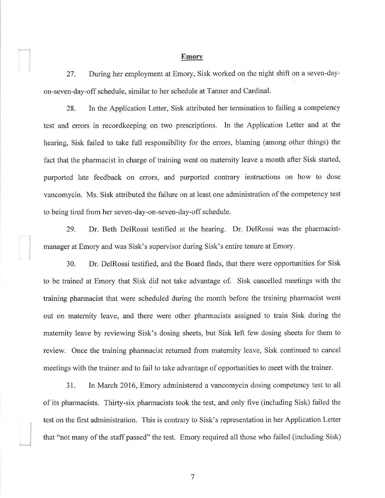#### Emorv

27. During her employment at Emory, Sisk worked on the night shift on a seven-dayon-seven-day-off schedule, similar to her schedule at Tanner and Cardinal.

28. In the Application Letter, Sisk attributed her termination to failing a competency test and errors in recordkeeping on two prescriptions. In the Application Letter and at the hearing, Sisk failed to take full responsibility for the errors, blaming (among other things) the fact that the pharmacist in charge of training went on maternity leave a month after Sisk started, purported late feedback on errors, and purported contrary instructions on how to dose vancomycin. Ms. Sisk attributed the failure on at least one administration of the competency test to being tired from her seven-day-on-seven-day-off schedule.

29. Dr. Beth DelRossi testified at the hearing. Dr. DelRossi was the pharmacistmanager at Emory and was Sisk's supervisor during Sisk's entire tenure at Emory.

30. Dr. DelRossi testified, and the Board finds, that there were opportunities for Sisk to be trained at Emory that Sisk did not take advantage of. Sisk cancelled meetings with the training pharmacist that were scheduled during the month before the training pharmacist went out on maternity leave, and there were other pharmacists assigned to train Sisk during the maternity leave by reviewing Sisk's dosing sheets, but Sisk left few dosing sheets for them to review. Once the training phannacist returned from matemity leave, Sisk continued to cancel meetings with the trainer and to fail to take advantage of opportunities to meet with the trainer.

31. In March 2016, Emory administered a vancomycin dosing competency test to all of its pharmacists. Thirty-six pharmacists took the test, and only five (including Sisk) failed the test on the first administration. This is contrary to Sisk's representation in her Application Letter that "not many of the staff passed" the test. Emory required all those who failed (including Sisk)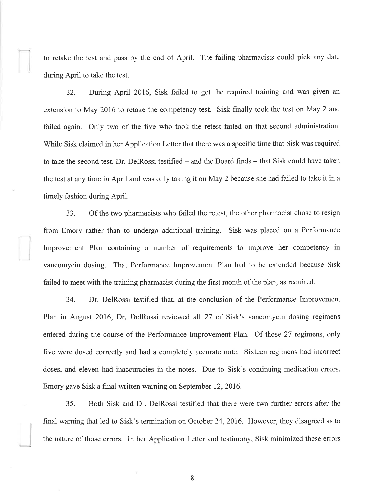to retake the test and pass by the end of April. The failing pharmacists could pick any date during April to take the test.

ì

32. During April 2016, Sisk failed to get the required training and was given an extension to May 2016 to retake the competency test. Sisk finally took the test on May 2 and failed again, Only two of the five who took the retest failed on that second administration. While Sisk claimed in her Application Letter that there was a specific time that Sisk was required to take the second test, Dr. DelRossi testified – and the Board finds – that Sisk could have taken the test at any time in April and was only taking it on May 2 because she had failed to take it in <sup>a</sup> timely fashion during April.

33. Of the two pharmacists who failed the retest, the other pharmacist chose to resign from Emory rather than to undergo additional training. Sisk was placed on a Performance Improvement Plan containing a number of requirements to improve her competency in vancomycin dosing. That Performance Improvement Plan had to be extended because Sisk failed to meet with the training pharmacist during the first month of the plan, as required.

34. Dr. DelRossi testified that, at the conclusion of the Performance Improvement Plan in August 2016, Dr. DelRossi reviewed all 27 of Sisk's vancomycin dosing regimens entered during the course of the Performance Improvement Plan. Of those 27 regimens, only five were dosed correctly and had a completely accurate note. Sixteen regimens had inconect doses, and eleven had inaccuracies in the notes. Due to Sisk's continuing medication errors, Emory gave Sisk a final written warning on September 12,2016.

35. Both Sisk and Dr. DelRossi testified that there were two further errors after the final warning that led to Sisk's termination on October 24,2016. However, they disagreed as to the nature of those errors. In her Application Letter and testimony, Sisk minimized these erors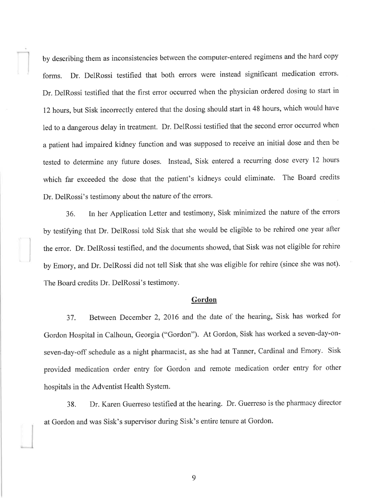by describing them as inconsistencies between the computer-entered regimens and the hard copy forms. Dr. DelRossi testified that both errors were instead significant medication errors. Dr. DelRossi testified that the first error occurred when the physician ordered dosing to start in <sup>12</sup>hours, but Sisk incorrectly entered that the dosing should start in 48 hours, which would have led to a dangerous delay in treatment. Dr. DelRossi testified that the second error occumed when <sup>a</sup>patient had impaired kidney function and was supposed to receive an initial dose and then be tested to determine any future doses. Instead, Sisk entered a recurring dose every 12 hours which far exceeded the dose that the patient's kidneys could eliminate. The Board credits Dr. DelRossi's testimony about the nature of the errors.

36. In her Application Letter and testimony, Sisk minimized the nature of the errors by testifying that Dr. DelRossi told Sisk that she would be eligible to be rehired one year after the error. Dr. DelRossi testified, and the documents showed, that Sisk was not eligible for rehire by Emory, and Dr. DelRossi did not tell Sisk that she was eligible for rehire (since she was not). The Board credits Dr. DelRossi's testimony.

#### Gordon

37. Between December 2, 2016 and the date of the hearing, Sisk has worked for Gordon Hospital in Calhoun, Georgia ("Gordon"). At Gordon, Sisk has worked a seven-day-onseven-day-off schedule as a night pharmacist, as she had at Tanner, Cardinal and Emory. Sisk provided medication order entry for Gordon and remote medication order entry for other hospitals in the Adventist Health System.

38. Dr. Karen Guerreso testified at the hearing. Dr. Guerreso is the pharmacy director at Gordon and was Sisk's supervisor during Sisk's entire tenure at Gordon.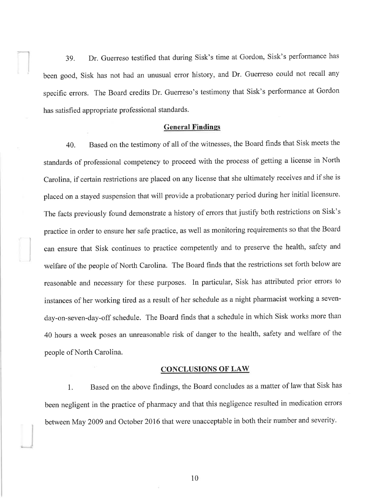39. Dr. Guerreso testified that during Sisk's time at Gordon, Sisk's performance has been good, Sisk has not had an unusual error history, and Dr. Guerreso could not recall any specific errors. The Board credits Dr. Guerreso's testimony that Sisk's performance at Gordon has satisfied appropriate professional standards.

#### **General Findings**

40. Based on the testimony of all of the witnesses, the Board finds that Sisk meets the standards of professional competency to proceed with the process of getting a license in North Carolina, if certain restrictions are placed on any license that she ultimately receives and if she is placed on a stayed suspension that will provide a probationary period during her initial licensure. The facts previously found demonstrate a history of erors that justify both restrictions on Sisk's practice in order to ensure her safe practice, as well as monitoring requirements so that the Board can ensure that Sisk continues to practice competently and to preserve the health, safety and welfare of the people of North Carolina. The Board finds that the restrictions set forth below are reasonable and necessary for these purposes. In particular, Sisk has attributed prior errors to instances of her working tired as a result of her schedule as a night pharmacist working a sevenday-on-seven-day-off schedule. The Board finds that a schedule in which Sisk works more than 40 hours a week poses an unreasonable risk of danger to the health, safety and welfare of the people of North Carolina.

#### **CONCLUSIONS OF LAW**

l. Based on the above findings, the Board concludes as a matter of law that Sisk has been negligent in the practice of pharmacy and that this negligence resulted in medication errors between May 2009 and October 2016 that were unacceptable in both their number and severity.

10

 $\overline{a}$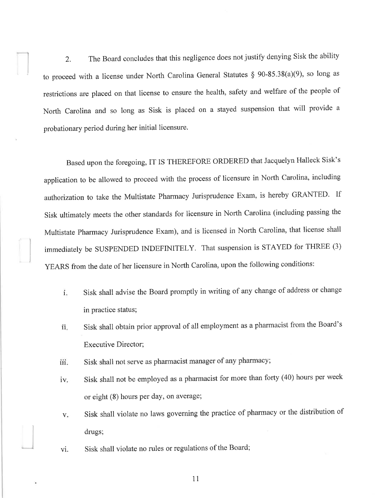2. The Board concludes that this negligence does not justify denying Sisk the ability to proceed with a license under North Carolina General Statutes  $§$  90-85.38(a)(9), so long as restrictions are placed on that license to ensure the health, safety and welfare of the people of North Carolina and so long as Sisk is placed on a stayed suspension that will provide <sup>a</sup> probationary period during her initial licensure.

Based upon the foregoing, IT IS THEREFORE ORDERED that Jacquelyn Halleck Sisk's application to be allowed to proceed with the process of licensure in North Carolina, including authorization to take the Multistate Pharmacy Jurisprudence Exam, is hereby GRANTED. If Sisk ultimately meets the other standards for licensure in North Carolina (including passing the Multistate pharmacy Jurisprudence Exam), and is licensed in North Carolina, that license shall immediately be SUSPENDED INDEFINITELY. That suspension is STAYED for THREE (3) yEARS from the date of her licensure in North Carolina, upon the following conditions:

- Sisk shall advise the Board promptly in writing of any change of address or change in practice status; l.
- Sisk shall obtain prior approval of all employment as a pharmacist from the Board's Executive Director; il
- iii. Sisk shall not serve as pharmacist manager of any pharmacy;
- Sisk shall not be employed as a pharmacist for more than forty (40) hours per week or eight (8) hours per day, on average; iv.
- Sisk shall violate no laws governing the practice of pharmacy or the distribution of drugs;  $\mathbf{V}$  .
- Sisk shall violate no rules or regulations of the Board; vl.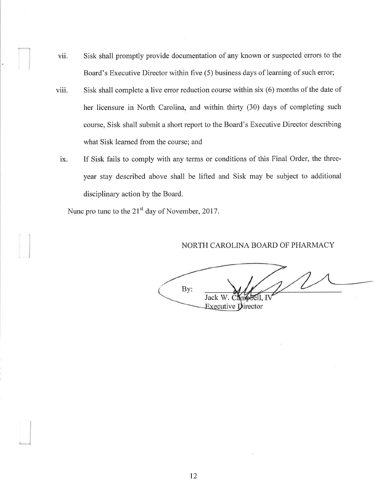- vii. Sisk shall promptly provide documentation of any known or suspected errors to the Board's Executive Director within five (5) business days of learning of such error;
- viii. Sisk shall complete a live error reduction course within six (6) months of the date of her licensure in North Carolina, and within thirty (30) days of completing such course, Sisk shall submit a short report to the Board's Executive Director describing what Sisk learned from the course; and
- ix. If Sisk fails to comply with any terms or conditions of this Final Order, the threeyear stay described above shall be lifted and Sisk may be subject to additional disciplinary action by the Board.

Nunc pro tunc to the 21<sup>st</sup> day of November, 2017.

NORTH CAROLINA BOARD OF PHARMACY

Jack By: Executive  $\mathbf{D}$ irector